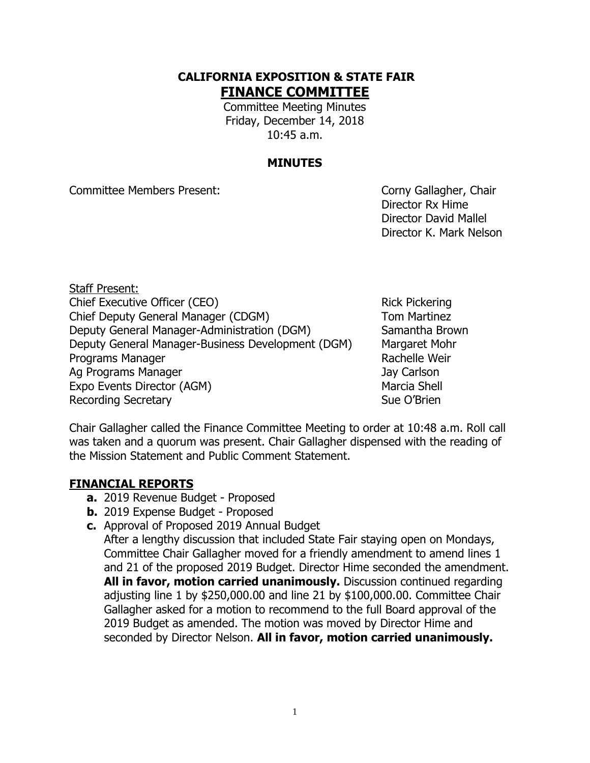## **CALIFORNIA EXPOSITION & STATE FAIR FINANCE COMMITTEE**

Committee Meeting Minutes Friday, December 14, 2018 10:45 a.m.

## **MINUTES**

Committee Members Present: Committee Members Present:

Director Rx Hime Director David Mallel Director K. Mark Nelson

Staff Present: Chief Executive Officer (CEO) Rick Pickering Chief Deputy General Manager (CDGM) Tom Martinez Deputy General Manager-Administration (DGM) Samantha Brown Deputy General Manager-Business Development (DGM) Margaret Mohr Programs Manager **Rachelle Weir** Rachelle Weir Ag Programs Manager Jay Carlson Expo Events Director (AGM) Marcia Shell Recording Secretary **Sue O'Brien** Sue O'Brien

Chair Gallagher called the Finance Committee Meeting to order at 10:48 a.m. Roll call was taken and a quorum was present. Chair Gallagher dispensed with the reading of the Mission Statement and Public Comment Statement.

## **FINANCIAL REPORTS**

- **a.** 2019 Revenue Budget Proposed
- **b.** 2019 Expense Budget Proposed
- **c.** Approval of Proposed 2019 Annual Budget

After a lengthy discussion that included State Fair staying open on Mondays, Committee Chair Gallagher moved for a friendly amendment to amend lines 1 and 21 of the proposed 2019 Budget. Director Hime seconded the amendment. **All in favor, motion carried unanimously.** Discussion continued regarding adjusting line 1 by \$250,000.00 and line 21 by \$100,000.00. Committee Chair Gallagher asked for a motion to recommend to the full Board approval of the 2019 Budget as amended. The motion was moved by Director Hime and seconded by Director Nelson. **All in favor, motion carried unanimously.**